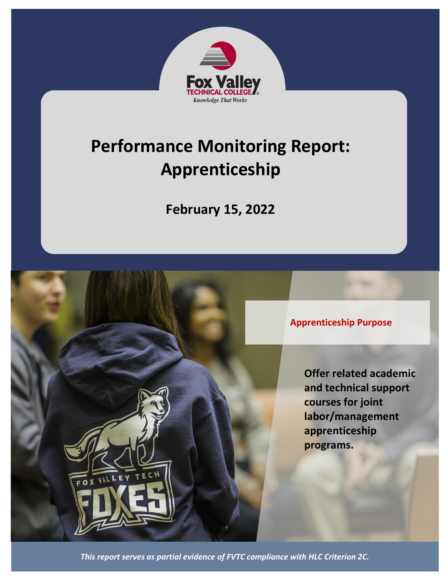

# **Performance Monitoring Report: Apprenticeship**

**February 15, 2022**



**Offer related academic and technical support courses for joint labor/management apprenticeship programs.**

*This report serves as partial evidence of FVTC compliance with HLC Criterion 2C.*

FOX VALL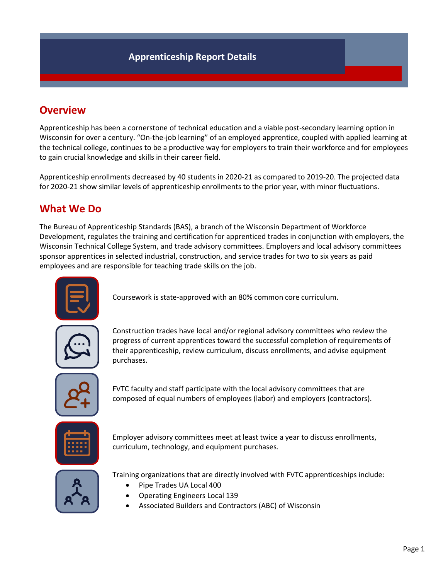# **Overview**

Apprenticeship has been a cornerstone of technical education and a viable post-secondary learning option in Wisconsin for over a century. "On-the-job learning" of an employed apprentice, coupled with applied learning at the technical college, continues to be a productive way for employers to train their workforce and for employees to gain crucial knowledge and skills in their career field.

Apprenticeship enrollments decreased by 40 students in 2020-21 as compared to 2019-20. The projected data for 2020-21 show similar levels of apprenticeship enrollments to the prior year, with minor fluctuations.

# **What We Do**

The Bureau of Apprenticeship Standards (BAS), a branch of the Wisconsin Department of Workforce Development, regulates the training and certification for apprenticed trades in conjunction with employers, the Wisconsin Technical College System, and trade advisory committees. Employers and local advisory committees sponsor apprentices in selected industrial, construction, and service trades for two to six years as paid employees and are responsible for teaching trade skills on the job.



Coursework is state-approved with an 80% common core curriculum.



Construction trades have local and/or regional advisory committees who review the progress of current apprentices toward the successful completion of requirements of their apprenticeship, review curriculum, discuss enrollments, and advise equipment purchases.



FVTC faculty and staff participate with the local advisory committees that are composed of equal numbers of employees (labor) and employers (contractors).



Employer advisory committees meet at least twice a year to discuss enrollments, curriculum, technology, and equipment purchases.



Training organizations that are directly involved with FVTC apprenticeships include:

- Pipe Trades UA Local 400
- Operating Engineers Local 139
- Associated Builders and Contractors (ABC) of Wisconsin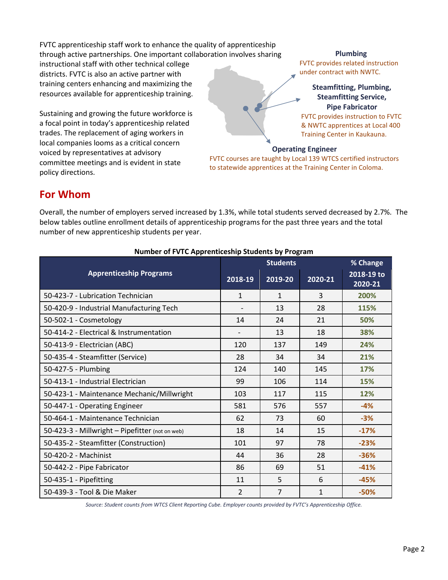FVTC apprenticeship staff work to enhance the quality of apprenticeship through active partnerships. One important collaboration involves sharing

instructional staff with other technical college districts. FVTC is also an active partner with training centers enhancing and maximizing the resources available for apprenticeship training.

Sustaining and growing the future workforce is a focal point in today's apprenticeship related trades. The replacement of aging workers in local companies looms as a critical concern voiced by representatives at advisory committee meetings and is evident in state policy directions.

**Plumbing** FVTC provides related instruction under contract with NWTC.

**Steamfitting, Plumbing, Steamfitting Service, Pipe Fabricator**  FVTC provides instruction to FVTC & NWTC apprentices at Local 400 Training Center in Kaukauna.

#### **Operating Engineer**

FVTC courses are taught by Local 139 WTCS certified instructors to statewide apprentices at the Training Center in Coloma.

## **For Whom**

Overall, the number of employers served increased by 1.3%, while total students served decreased by 2.7%. The below tables outline enrollment details of apprenticeship programs for the past three years and the total number of new apprenticeship students per year.

|                                                 | <b>Students</b> |                |         | % Change              |
|-------------------------------------------------|-----------------|----------------|---------|-----------------------|
| <b>Apprenticeship Programs</b>                  | 2018-19         | 2019-20        | 2020-21 | 2018-19 to<br>2020-21 |
| 50-423-7 - Lubrication Technician               | 1               | $\mathbf{1}$   | 3       | 200%                  |
| 50-420-9 - Industrial Manufacturing Tech        |                 | 13             | 28      | 115%                  |
| 50-502-1 - Cosmetology                          | 14              | 24             | 21      | 50%                   |
| 50-414-2 - Electrical & Instrumentation         |                 | 13             | 18      | 38%                   |
| 50-413-9 - Electrician (ABC)                    | 120             | 137            | 149     | 24%                   |
| 50-435-4 - Steamfitter (Service)                | 28              | 34             | 34      | 21%                   |
| 50-427-5 - Plumbing                             | 124             | 140            | 145     | 17%                   |
| 50-413-1 - Industrial Electrician               | 99              | 106            | 114     | 15%                   |
| 50-423-1 - Maintenance Mechanic/Millwright      | 103             | 117            | 115     | 12%                   |
| 50-447-1 - Operating Engineer                   | 581             | 576            | 557     | $-4%$                 |
| 50-464-1 - Maintenance Technician               | 62              | 73             | 60      | $-3%$                 |
| 50-423-3 - Millwright - Pipefitter (not on web) | 18              | 14             | 15      | $-17%$                |
| 50-435-2 - Steamfitter (Construction)           | 101             | 97             | 78      | $-23%$                |
| 50-420-2 - Machinist                            | 44              | 36             | 28      | $-36%$                |
| 50-442-2 - Pipe Fabricator                      | 86              | 69             | 51      | $-41%$                |
| 50-435-1 - Pipefitting                          | 11              | 5              | 6       | $-45%$                |
| 50-439-3 - Tool & Die Maker                     | $\overline{2}$  | $\overline{7}$ | 1       | $-50%$                |

### **Number of FVTC Apprenticeship Students by Program**

*Source: Student counts from WTCS Client Reporting Cube. Employer counts provided by FVTC's Apprenticeship Office.*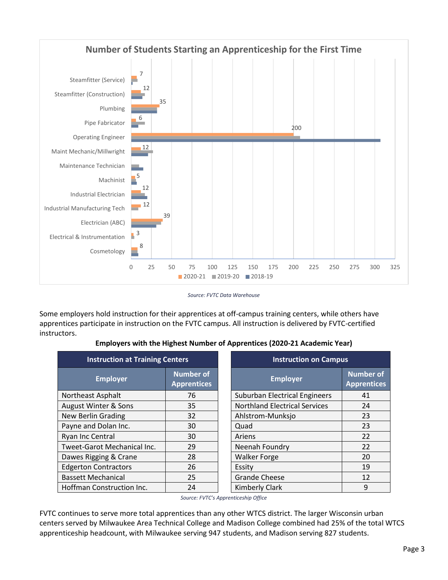

*Source: FVTC Data Warehouse*

Some employers hold instruction for their apprentices at off-campus training centers, while others have apprentices participate in instruction on the FVTC campus. All instruction is delivered by FVTC-certified instructors.

| <b>Instruction at Training Centers</b> |                                        | <b>Instruction on Campus</b>         |                                        |  |
|----------------------------------------|----------------------------------------|--------------------------------------|----------------------------------------|--|
| <b>Employer</b>                        | <b>Number of</b><br><b>Apprentices</b> | <b>Employer</b>                      | <b>Number of</b><br><b>Apprentices</b> |  |
| Northeast Asphalt                      | 76                                     | <b>Suburban Electrical Engineers</b> | 41                                     |  |
| August Winter & Sons                   | 35                                     | <b>Northland Electrical Services</b> | 24                                     |  |
| <b>New Berlin Grading</b>              | 32                                     | Ahlstrom-Munksjo                     | 23                                     |  |
| Payne and Dolan Inc.                   | 30                                     | Quad                                 | 23                                     |  |
| Ryan Inc Central                       | 30                                     | Ariens                               | 22                                     |  |
| Tweet-Garot Mechanical Inc.            | 29                                     | Neenah Foundry                       | 22                                     |  |
| Dawes Rigging & Crane                  | 28                                     | <b>Walker Forge</b>                  | 20                                     |  |
| <b>Edgerton Contractors</b>            | 26                                     | Essity                               | 19                                     |  |
| <b>Bassett Mechanical</b>              | 25                                     | <b>Grande Cheese</b>                 | 12                                     |  |
| Hoffman Construction Inc.              | 24                                     | <b>Kimberly Clark</b>                | 9                                      |  |

## **Employers with the Highest Number of Apprentices (2020-21 Academic Year)**

*Source: FVTC's Apprenticeship Office*

FVTC continues to serve more total apprentices than any other WTCS district. The larger Wisconsin urban centers served by Milwaukee Area Technical College and Madison College combined had 25% of the total WTCS apprenticeship headcount, with Milwaukee serving 947 students, and Madison serving 827 students.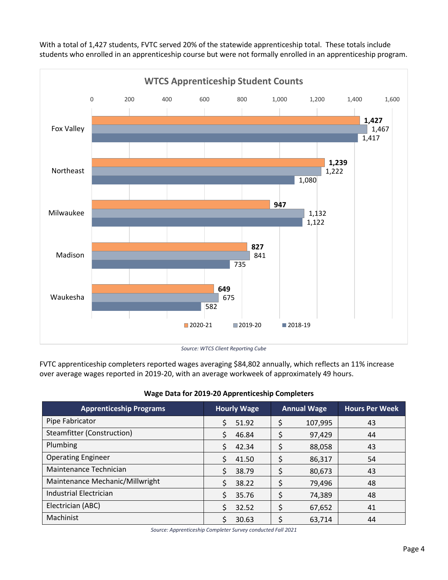

With a total of 1,427 students, FVTC served 20% of the statewide apprenticeship total. These totals include students who enrolled in an apprenticeship course but were not formally enrolled in an apprenticeship program.

*Source: WTCS Client Reporting Cube*

FVTC apprenticeship completers reported wages averaging \$84,802 annually, which reflects an 11% increase over average wages reported in 2019-20, with an average workweek of approximately 49 hours.

| <b>Apprenticeship Programs</b>  | <b>Hourly Wage</b> | <b>Annual Wage</b> | <b>Hours Per Week</b> |
|---------------------------------|--------------------|--------------------|-----------------------|
| Pipe Fabricator                 | Ś<br>51.92         | 107,995            | 43                    |
| Steamfitter (Construction)      | Ś<br>46.84         | 97,429             | 44                    |
| Plumbing                        | Ś<br>42.34         | \$<br>88,058       | 43                    |
| <b>Operating Engineer</b>       | Ś<br>41.50         | 86,317             | 54                    |
| Maintenance Technician          | Ś<br>38.79         | 80,673             | 43                    |
| Maintenance Mechanic/Millwright | 38.22<br>Ś         | \$<br>79,496       | 48                    |
| <b>Industrial Electrician</b>   | Ś<br>35.76         | 74,389             | 48                    |
| Electrician (ABC)               | Ś<br>32.52         | 67,652             | 41                    |
| Machinist                       | 30.63              | 63.714             | 44                    |

#### **Wage Data for 2019-20 Apprenticeship Completers**

*Source: Apprenticeship Completer Survey conducted Fall 2021*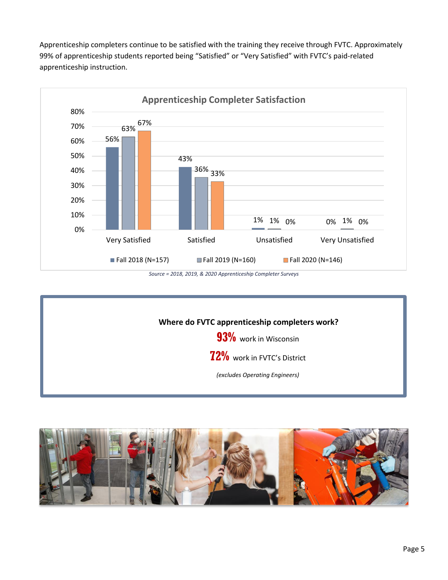Apprenticeship completers continue to be satisfied with the training they receive through FVTC. Approximately 99% of apprenticeship students reported being "Satisfied" or "Very Satisfied" with FVTC's paid-related apprenticeship instruction.



*Source = 2018, 2019, & 2020 Apprenticeship Completer Surveys*



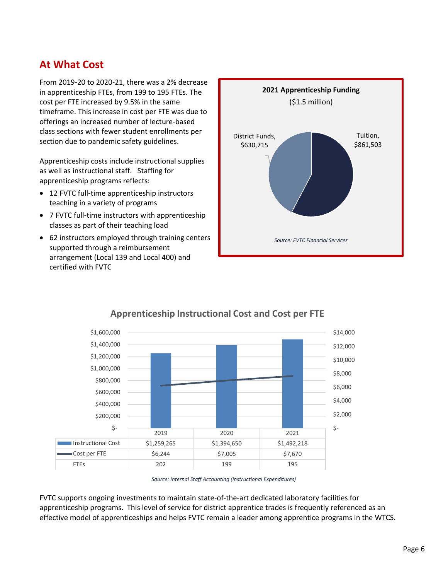## **At What Cost**

From 2019-20 to 2020-21, there was a 2% decrease in apprenticeship FTEs, from 199 to 195 FTEs. The cost per FTE increased by 9.5% in the same timeframe. This increase in cost per FTE was due to offerings an increased number of lecture-based class sections with fewer student enrollments per section due to pandemic safety guidelines.

Apprenticeship costs include instructional supplies as well as instructional staff. Staffing for apprenticeship programs reflects:

- 12 FVTC full-time apprenticeship instructors teaching in a variety of programs
- 7 FVTC full-time instructors with apprenticeship classes as part of their teaching load
- 62 instructors employed through training centers supported through a reimbursement arrangement (Local 139 and Local 400) and certified with FVTC





## **Apprenticeship Instructional Cost and Cost per FTE**

FVTC supports ongoing investments to maintain state-of-the-art dedicated laboratory facilities for apprenticeship programs. This level of service for district apprentice trades is frequently referenced as an effective model of apprenticeships and helps FVTC remain a leader among apprentice programs in the WTCS.

*Source: Internal Staff Accounting (Instructional Expenditures)*